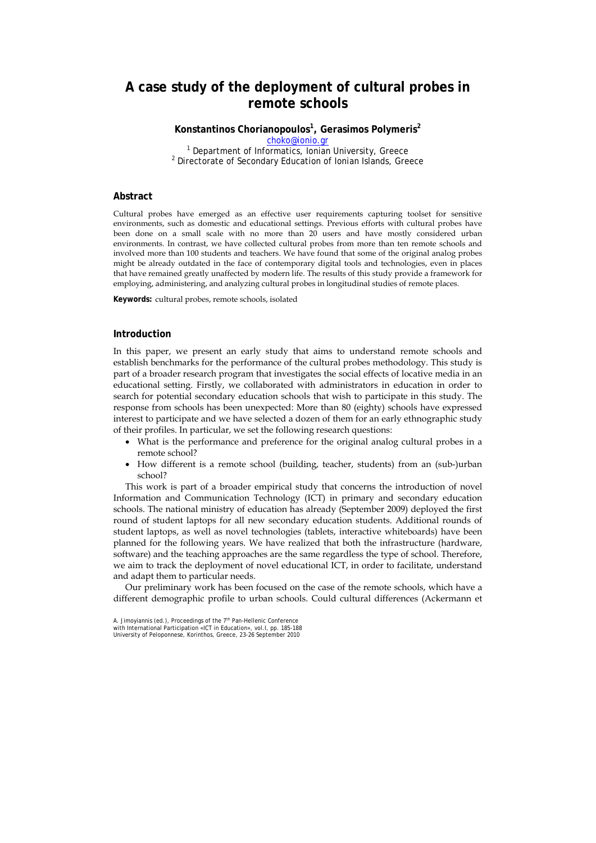# **A case study of the deployment of cultural probes in remote schools**

**Konstantinos Chorianopoulos1 , Gerasimos Polymeris<sup>2</sup>**

choko@ionio.gr <sup>1</sup> <sup>1</sup> Department of Informatics, Ionian University, Greece  $^2$  Directorate of Secondary Education of Jonian Islands, Cross  $2$  Directorate of Secondary Education of Ionian Islands, Greece

### **Abstract**

Cultural probes have emerged as an effective user requirements capturing toolset for sensitive environments, such as domestic and educational settings. Previous efforts with cultural probes have been done on a small scale with no more than 20 users and have mostly considered urban environments. In contrast, we have collected cultural probes from more than ten remote schools and involved more than 100 students and teachers. We have found that some of the original analog probes might be already outdated in the face of contemporary digital tools and technologies, even in places that have remained greatly unaffected by modern life. The results of this study provide a framework for employing, administering, and analyzing cultural probes in longitudinal studies of remote places.

**Keywords:** cultural probes, remote schools, isolated

# **Introduction**

In this paper, we present an early study that aims to understand remote schools and establish benchmarks for the performance of the cultural probes methodology. This study is part of a broader research program that investigates the social effects of locative media in an educational setting. Firstly, we collaborated with administrators in education in order to search for potential secondary education schools that wish to participate in this study. The response from schools has been unexpected: More than 80 (eighty) schools have expressed interest to participate and we have selected a dozen of them for an early ethnographic study of their profiles. In particular, we set the following research questions:

- What is the performance and preference for the original analog cultural probes in a remote school?
- How different is a remote school (building, teacher, students) from an (sub-)urban school?

This work is part of a broader empirical study that concerns the introduction of novel Information and Communication Technology (ICT) in primary and secondary education schools. The national ministry of education has already (September 2009) deployed the first round of student laptops for all new secondary education students. Additional rounds of student laptops, as well as novel technologies (tablets, interactive whiteboards) have been planned for the following years. We have realized that both the infrastructure (hardware, software) and the teaching approaches are the same regardless the type of school. Therefore, we aim to track the deployment of novel educational ICT, in order to facilitate, understand and adapt them to particular needs.

Our preliminary work has been focused on the case of the remote schools, which have a different demographic profile to urban schools. Could cultural differences (Ackermann et

A. Jimoyiannis (ed.), Proceedings of the 7<sup>th</sup> Pan-Hellenic Conference<br>with International Participation «ICT in Education», vol.I, pp. 185-188 University of Peloponnese, Korinthos, Greece, 23-26 September 2010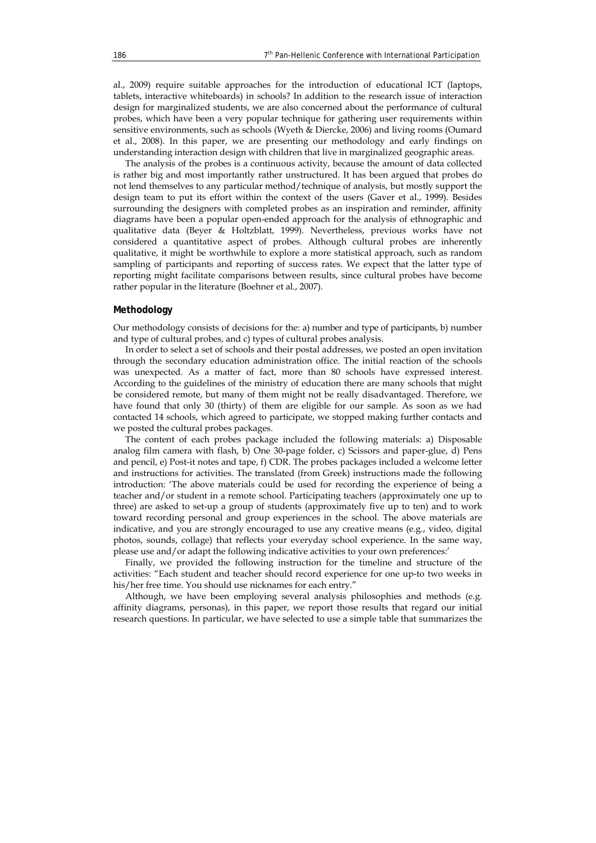al., 2009) require suitable approaches for the introduction of educational ICT (laptops, tablets, interactive whiteboards) in schools? In addition to the research issue of interaction design for marginalized students, we are also concerned about the performance of cultural probes, which have been a very popular technique for gathering user requirements within sensitive environments, such as schools (Wyeth & Diercke, 2006) and living rooms (Oumard et al., 2008). In this paper, we are presenting our methodology and early findings on understanding interaction design with children that live in marginalized geographic areas.

The analysis of the probes is a continuous activity, because the amount of data collected is rather big and most importantly rather unstructured. It has been argued that probes do not lend themselves to any particular method/technique of analysis, but mostly support the design team to put its effort within the context of the users (Gaver et al., 1999). Besides surrounding the designers with completed probes as an inspiration and reminder, affinity diagrams have been a popular open-ended approach for the analysis of ethnographic and qualitative data (Beyer & Holtzblatt, 1999). Nevertheless, previous works have not considered a quantitative aspect of probes. Although cultural probes are inherently qualitative, it might be worthwhile to explore a more statistical approach, such as random sampling of participants and reporting of success rates. We expect that the latter type of reporting might facilitate comparisons between results, since cultural probes have become rather popular in the literature (Boehner et al., 2007).

### **Methodology**

Our methodology consists of decisions for the: a) number and type of participants, b) number and type of cultural probes, and c) types of cultural probes analysis.

In order to select a set of schools and their postal addresses, we posted an open invitation through the secondary education administration office. The initial reaction of the schools was unexpected. As a matter of fact, more than 80 schools have expressed interest. According to the guidelines of the ministry of education there are many schools that might be considered remote, but many of them might not be really disadvantaged. Therefore, we have found that only 30 (thirty) of them are eligible for our sample. As soon as we had contacted 14 schools, which agreed to participate, we stopped making further contacts and we posted the cultural probes packages.

The content of each probes package included the following materials: a) Disposable analog film camera with flash, b) One 30-page folder, c) Scissors and paper-glue, d) Pens and pencil, e) Post-it notes and tape, f) CDR. The probes packages included a welcome letter and instructions for activities. The translated (from Greek) instructions made the following introduction: 'The above materials could be used for recording the experience of being a teacher and/or student in a remote school. Participating teachers (approximately one up to three) are asked to set-up a group of students (approximately five up to ten) and to work toward recording personal and group experiences in the school. The above materials are indicative, and you are strongly encouraged to use any creative means (e.g., video, digital photos, sounds, collage) that reflects your everyday school experience. In the same way, please use and/or adapt the following indicative activities to your own preferences:'

Finally, we provided the following instruction for the timeline and structure of the activities: "Each student and teacher should record experience for one up-to two weeks in his/her free time. You should use nicknames for each entry."

Although, we have been employing several analysis philosophies and methods (e.g. affinity diagrams, personas), in this paper, we report those results that regard our initial research questions. In particular, we have selected to use a simple table that summarizes the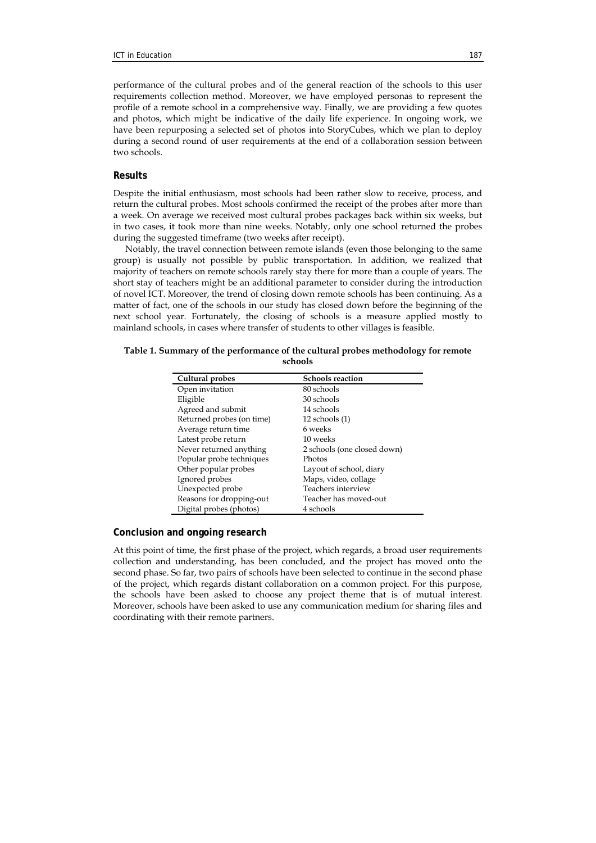performance of the cultural probes and of the general reaction of the schools to this user requirements collection method. Moreover, we have employed personas to represent the profile of a remote school in a comprehensive way. Finally, we are providing a few quotes and photos, which might be indicative of the daily life experience. In ongoing work, we have been repurposing a selected set of photos into StoryCubes, which we plan to deploy during a second round of user requirements at the end of a collaboration session between two schools.

# **Results**

Despite the initial enthusiasm, most schools had been rather slow to receive, process, and return the cultural probes. Most schools confirmed the receipt of the probes after more than a week. On average we received most cultural probes packages back within six weeks, but in two cases, it took more than nine weeks. Notably, only one school returned the probes during the suggested timeframe (two weeks after receipt).

Notably, the travel connection between remote islands (even those belonging to the same group) is usually not possible by public transportation. In addition, we realized that majority of teachers on remote schools rarely stay there for more than a couple of years. The short stay of teachers might be an additional parameter to consider during the introduction of novel ICT. Moreover, the trend of closing down remote schools has been continuing. As a matter of fact, one of the schools in our study has closed down before the beginning of the next school year. Fortunately, the closing of schools is a measure applied mostly to mainland schools, in cases where transfer of students to other villages is feasible.

| Cultural probes           | <b>Schools reaction</b>     |
|---------------------------|-----------------------------|
| Open invitation           | 80 schools                  |
| Eligible                  | 30 schools                  |
| Agreed and submit         | 14 schools                  |
| Returned probes (on time) | $12$ schools $(1)$          |
| Average return time       | 6 weeks                     |
| Latest probe return       | 10 weeks                    |
| Never returned anything   | 2 schools (one closed down) |
| Popular probe techniques  | Photos                      |
| Other popular probes      | Layout of school, diary     |
| Ignored probes            | Maps, video, collage        |
| Unexpected probe          | Teachers interview          |
| Reasons for dropping-out  | Teacher has moved-out       |
| Digital probes (photos)   | 4 schools                   |

| Table 1. Summary of the performance of the cultural probes methodology for remote |  |
|-----------------------------------------------------------------------------------|--|
| schools                                                                           |  |

# **Conclusion and ongoing research**

At this point of time, the first phase of the project, which regards, a broad user requirements collection and understanding, has been concluded, and the project has moved onto the second phase. So far, two pairs of schools have been selected to continue in the second phase of the project, which regards distant collaboration on a common project. For this purpose, the schools have been asked to choose any project theme that is of mutual interest. Moreover, schools have been asked to use any communication medium for sharing files and coordinating with their remote partners.